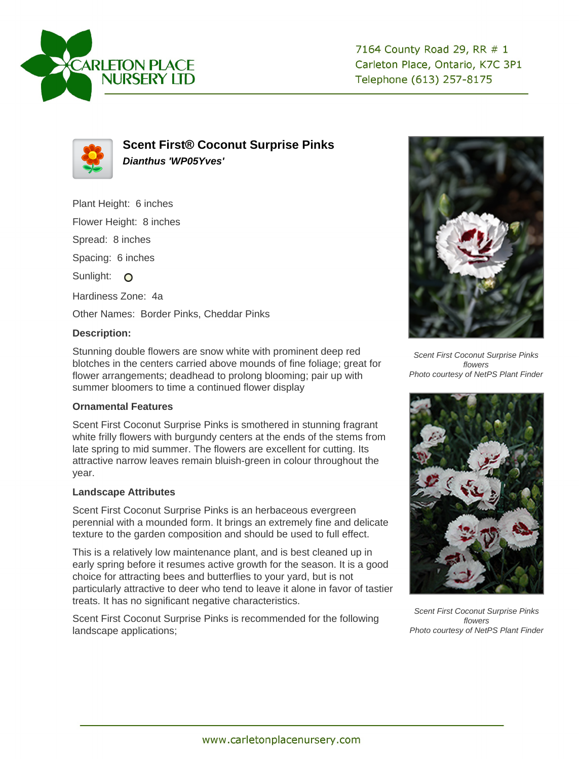



**Scent First® Coconut Surprise Pinks Dianthus 'WP05Yves'**

Plant Height: 6 inches

Flower Height: 8 inches

Spread: 8 inches

Spacing: 6 inches

Sunlight: O

Hardiness Zone: 4a

Other Names: Border Pinks, Cheddar Pinks

## **Description:**

Stunning double flowers are snow white with prominent deep red blotches in the centers carried above mounds of fine foliage; great for flower arrangements; deadhead to prolong blooming; pair up with summer bloomers to time a continued flower display

## **Ornamental Features**

Scent First Coconut Surprise Pinks is smothered in stunning fragrant white frilly flowers with burgundy centers at the ends of the stems from late spring to mid summer. The flowers are excellent for cutting. Its attractive narrow leaves remain bluish-green in colour throughout the year.

## **Landscape Attributes**

Scent First Coconut Surprise Pinks is an herbaceous evergreen perennial with a mounded form. It brings an extremely fine and delicate texture to the garden composition and should be used to full effect.

This is a relatively low maintenance plant, and is best cleaned up in early spring before it resumes active growth for the season. It is a good choice for attracting bees and butterflies to your yard, but is not particularly attractive to deer who tend to leave it alone in favor of tastier treats. It has no significant negative characteristics.

Scent First Coconut Surprise Pinks is recommended for the following landscape applications;



Scent First Coconut Surprise Pinks flowers Photo courtesy of NetPS Plant Finder



Scent First Coconut Surprise Pinks flowers Photo courtesy of NetPS Plant Finder